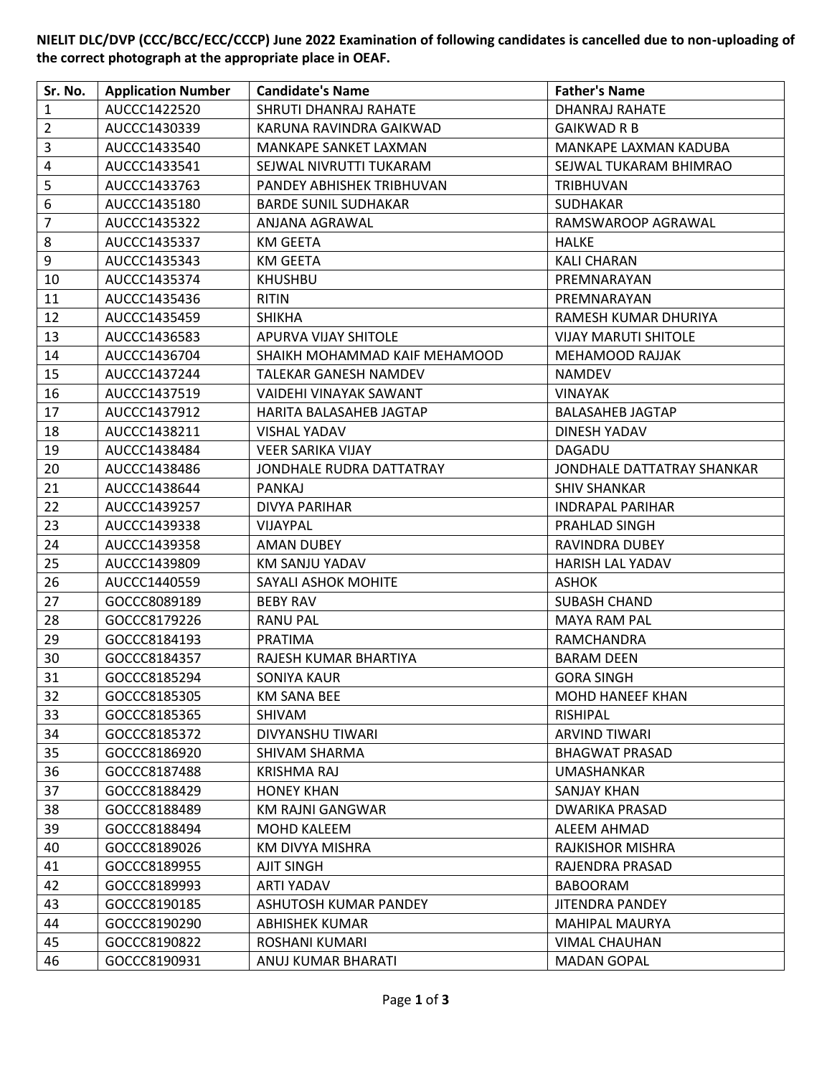**NIELIT DLC/DVP (CCC/BCC/ECC/CCCP) June 2022 Examination of following candidates is cancelled due to non-uploading of the correct photograph at the appropriate place in OEAF.**

| Sr. No.                 | <b>Application Number</b> | <b>Candidate's Name</b>       | <b>Father's Name</b>        |
|-------------------------|---------------------------|-------------------------------|-----------------------------|
| $\mathbf{1}$            | AUCCC1422520              | SHRUTI DHANRAJ RAHATE         | DHANRAJ RAHATE              |
| $\overline{2}$          | AUCCC1430339              | KARUNA RAVINDRA GAIKWAD       | <b>GAIKWAD R B</b>          |
| $\mathsf{3}$            | AUCCC1433540              | MANKAPE SANKET LAXMAN         | MANKAPE LAXMAN KADUBA       |
| $\overline{\mathbf{4}}$ | AUCCC1433541              | SEJWAL NIVRUTTI TUKARAM       | SEJWAL TUKARAM BHIMRAO      |
| $\mathsf S$             | AUCCC1433763              | PANDEY ABHISHEK TRIBHUVAN     | TRIBHUVAN                   |
| $\boldsymbol{6}$        | AUCCC1435180              | <b>BARDE SUNIL SUDHAKAR</b>   | SUDHAKAR                    |
| $\overline{7}$          | AUCCC1435322              | ANJANA AGRAWAL                | RAMSWAROOP AGRAWAL          |
| 8                       | AUCCC1435337              | <b>KM GEETA</b>               | HALKE                       |
| 9                       | AUCCC1435343              | KM GEETA                      | KALI CHARAN                 |
| 10                      | AUCCC1435374              | <b>KHUSHBU</b>                | PREMNARAYAN                 |
| 11                      | AUCCC1435436              | <b>RITIN</b>                  | PREMNARAYAN                 |
| 12                      | AUCCC1435459              | <b>SHIKHA</b>                 | RAMESH KUMAR DHURIYA        |
| 13                      | AUCCC1436583              | APURVA VIJAY SHITOLE          | <b>VIJAY MARUTI SHITOLE</b> |
| 14                      | AUCCC1436704              | SHAIKH MOHAMMAD KAIF MEHAMOOD | MEHAMOOD RAJJAK             |
| 15                      | AUCCC1437244              | TALEKAR GANESH NAMDEV         | <b>NAMDEV</b>               |
| 16                      | AUCCC1437519              | VAIDEHI VINAYAK SAWANT        | <b>VINAYAK</b>              |
| 17                      | AUCCC1437912              | HARITA BALASAHEB JAGTAP       | <b>BALASAHEB JAGTAP</b>     |
| 18                      | AUCCC1438211              | <b>VISHAL YADAV</b>           | DINESH YADAV                |
| 19                      | AUCCC1438484              | <b>VEER SARIKA VIJAY</b>      | DAGADU                      |
| 20                      | AUCCC1438486              | JONDHALE RUDRA DATTATRAY      | JONDHALE DATTATRAY SHANKAR  |
| 21                      | AUCCC1438644              | PANKAJ                        | <b>SHIV SHANKAR</b>         |
| 22                      | AUCCC1439257              | <b>DIVYA PARIHAR</b>          | <b>INDRAPAL PARIHAR</b>     |
| 23                      | AUCCC1439338              | VIJAYPAL                      | PRAHLAD SINGH               |
| 24                      | AUCCC1439358              | AMAN DUBEY                    | RAVINDRA DUBEY              |
| 25                      | AUCCC1439809              | KM SANJU YADAV                | HARISH LAL YADAV            |
| 26                      | AUCCC1440559              | SAYALI ASHOK MOHITE           | <b>ASHOK</b>                |
| 27                      | GOCCC8089189              | <b>BEBY RAV</b>               | <b>SUBASH CHAND</b>         |
| 28                      | GOCCC8179226              | <b>RANU PAL</b>               | <b>MAYA RAM PAL</b>         |
| 29                      | GOCCC8184193              | <b>PRATIMA</b>                | RAMCHANDRA                  |
| 30                      | GOCCC8184357              | RAJESH KUMAR BHARTIYA         | <b>BARAM DEEN</b>           |
| 31                      | GOCCC8185294              | SONIYA KAUR                   | <b>GORA SINGH</b>           |
| 32                      | GOCCC8185305              | <b>KM SANA BEE</b>            | <b>MOHD HANEEF KHAN</b>     |
| 33                      | GOCCC8185365              | SHIVAM                        | <b>RISHIPAL</b>             |
| 34                      | GOCCC8185372              | DIVYANSHU TIWARI              | <b>ARVIND TIWARI</b>        |
| 35                      | GOCCC8186920              | SHIVAM SHARMA                 | <b>BHAGWAT PRASAD</b>       |
| 36                      | GOCCC8187488              | KRISHMA RAJ                   | UMASHANKAR                  |
| 37                      | GOCCC8188429              | <b>HONEY KHAN</b>             | <b>SANJAY KHAN</b>          |
| 38                      | GOCCC8188489              | KM RAJNI GANGWAR              | <b>DWARIKA PRASAD</b>       |
| 39                      | GOCCC8188494              | MOHD KALEEM                   | ALEEM AHMAD                 |
| 40                      | GOCCC8189026              | KM DIVYA MISHRA               | RAJKISHOR MISHRA            |
| 41                      | GOCCC8189955              | AJIT SINGH                    | RAJENDRA PRASAD             |
| 42                      | GOCCC8189993              | <b>ARTI YADAV</b>             | <b>BABOORAM</b>             |
| 43                      | GOCCC8190185              | ASHUTOSH KUMAR PANDEY         | <b>JITENDRA PANDEY</b>      |
| 44                      | GOCCC8190290              | <b>ABHISHEK KUMAR</b>         | <b>MAHIPAL MAURYA</b>       |
| 45                      | GOCCC8190822              | ROSHANI KUMARI                | VIMAL CHAUHAN               |
| 46                      | GOCCC8190931              | ANUJ KUMAR BHARATI            | <b>MADAN GOPAL</b>          |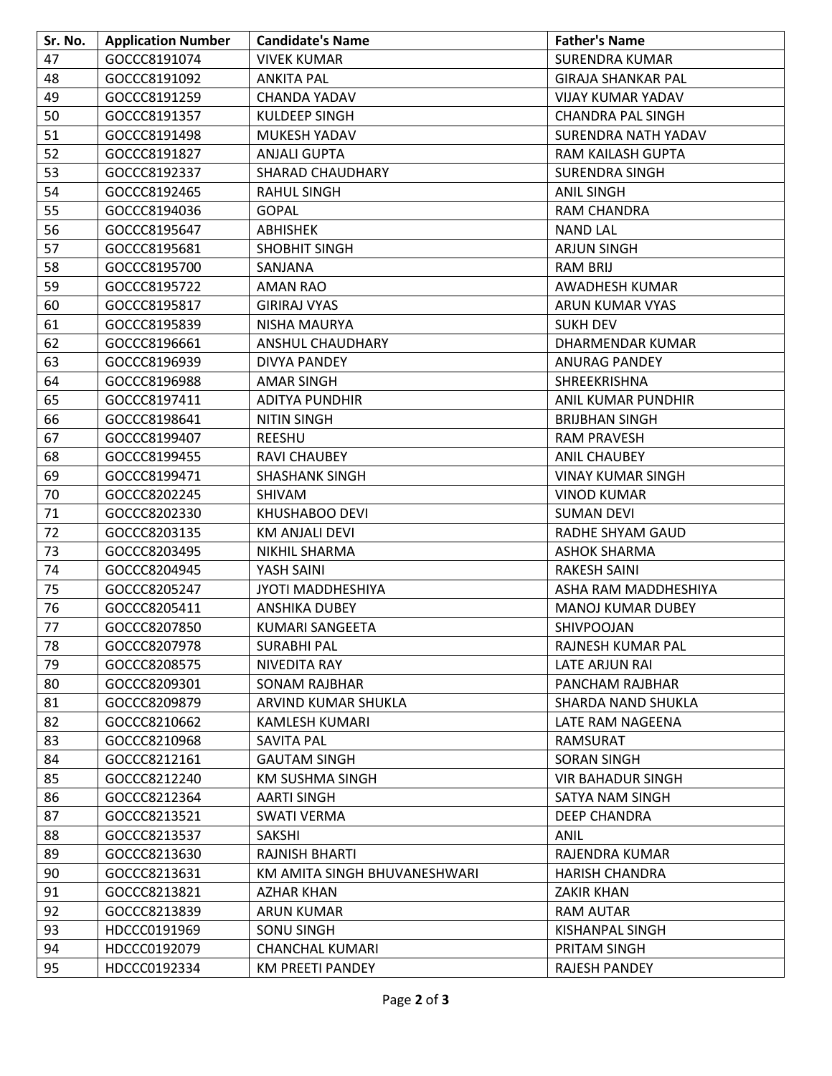| Sr. No. | <b>Application Number</b> | <b>Candidate's Name</b>      | <b>Father's Name</b>      |
|---------|---------------------------|------------------------------|---------------------------|
| 47      | GOCCC8191074              | <b>VIVEK KUMAR</b>           | <b>SURENDRA KUMAR</b>     |
| 48      | GOCCC8191092              | <b>ANKITA PAL</b>            | <b>GIRAJA SHANKAR PAL</b> |
| 49      | GOCCC8191259              | <b>CHANDA YADAV</b>          | VIJAY KUMAR YADAV         |
| 50      | GOCCC8191357              | <b>KULDEEP SINGH</b>         | <b>CHANDRA PAL SINGH</b>  |
| 51      | GOCCC8191498              | MUKESH YADAV                 | SURENDRA NATH YADAV       |
| 52      | GOCCC8191827              | <b>ANJALI GUPTA</b>          | RAM KAILASH GUPTA         |
| 53      | GOCCC8192337              | <b>SHARAD CHAUDHARY</b>      | <b>SURENDRA SINGH</b>     |
| 54      | GOCCC8192465              | <b>RAHUL SINGH</b>           | <b>ANIL SINGH</b>         |
| 55      | GOCCC8194036              | <b>GOPAL</b>                 | RAM CHANDRA               |
| 56      | GOCCC8195647              | <b>ABHISHEK</b>              | <b>NAND LAL</b>           |
| 57      | GOCCC8195681              | SHOBHIT SINGH                | <b>ARJUN SINGH</b>        |
| 58      | GOCCC8195700              | SANJANA                      | <b>RAM BRIJ</b>           |
| 59      | GOCCC8195722              | AMAN RAO                     | AWADHESH KUMAR            |
| 60      | GOCCC8195817              | <b>GIRIRAJ VYAS</b>          | ARUN KUMAR VYAS           |
| 61      | GOCCC8195839              | <b>NISHA MAURYA</b>          | <b>SUKH DEV</b>           |
| 62      | GOCCC8196661              | ANSHUL CHAUDHARY             | DHARMENDAR KUMAR          |
| 63      | GOCCC8196939              | <b>DIVYA PANDEY</b>          | <b>ANURAG PANDEY</b>      |
| 64      | GOCCC8196988              | <b>AMAR SINGH</b>            | SHREEKRISHNA              |
| 65      | GOCCC8197411              | <b>ADITYA PUNDHIR</b>        | ANIL KUMAR PUNDHIR        |
| 66      | GOCCC8198641              | <b>NITIN SINGH</b>           | <b>BRIJBHAN SINGH</b>     |
| 67      | GOCCC8199407              | <b>REESHU</b>                | <b>RAM PRAVESH</b>        |
| 68      | GOCCC8199455              | <b>RAVI CHAUBEY</b>          | <b>ANIL CHAUBEY</b>       |
| 69      | GOCCC8199471              | <b>SHASHANK SINGH</b>        | <b>VINAY KUMAR SINGH</b>  |
| 70      | GOCCC8202245              | SHIVAM                       | <b>VINOD KUMAR</b>        |
| 71      | GOCCC8202330              | KHUSHABOO DEVI               | <b>SUMAN DEVI</b>         |
| 72      | GOCCC8203135              | KM ANJALI DEVI               | RADHE SHYAM GAUD          |
| 73      | GOCCC8203495              | NIKHIL SHARMA                | <b>ASHOK SHARMA</b>       |
| 74      | GOCCC8204945              | YASH SAINI                   | <b>RAKESH SAINI</b>       |
| 75      | GOCCC8205247              | JYOTI MADDHESHIYA            | ASHA RAM MADDHESHIYA      |
| 76      | GOCCC8205411              | <b>ANSHIKA DUBEY</b>         | <b>MANOJ KUMAR DUBEY</b>  |
| 77      | GOCCC8207850              | <b>KUMARI SANGEETA</b>       | SHIVPOOJAN                |
| 78      | GOCCC8207978              | <b>SURABHI PAL</b>           | RAJNESH KUMAR PAL         |
| 79      | GOCCC8208575              | NIVEDITA RAY                 | LATE ARJUN RAI            |
| 80      | GOCCC8209301              | SONAM RAJBHAR                | PANCHAM RAJBHAR           |
| 81      | GOCCC8209879              | ARVIND KUMAR SHUKLA          | SHARDA NAND SHUKLA        |
| 82      | GOCCC8210662              | <b>KAMLESH KUMARI</b>        | LATE RAM NAGEENA          |
| 83      | GOCCC8210968              | SAVITA PAL                   | RAMSURAT                  |
| 84      | GOCCC8212161              | <b>GAUTAM SINGH</b>          | <b>SORAN SINGH</b>        |
| 85      | GOCCC8212240              | KM SUSHMA SINGH              | <b>VIR BAHADUR SINGH</b>  |
| 86      | GOCCC8212364              | <b>AARTI SINGH</b>           | SATYA NAM SINGH           |
| 87      | GOCCC8213521              | <b>SWATI VERMA</b>           | <b>DEEP CHANDRA</b>       |
| 88      | GOCCC8213537              | SAKSHI                       | ANIL                      |
| 89      | GOCCC8213630              | RAJNISH BHARTI               | RAJENDRA KUMAR            |
| 90      | GOCCC8213631              | KM AMITA SINGH BHUVANESHWARI | <b>HARISH CHANDRA</b>     |
| 91      | GOCCC8213821              | AZHAR KHAN                   | <b>ZAKIR KHAN</b>         |
| 92      | GOCCC8213839              | <b>ARUN KUMAR</b>            | <b>RAM AUTAR</b>          |
| 93      | HDCCC0191969              | SONU SINGH                   | KISHANPAL SINGH           |
| 94      | HDCCC0192079              | <b>CHANCHAL KUMARI</b>       | PRITAM SINGH              |
| 95      | HDCCC0192334              | KM PREETI PANDEY             | RAJESH PANDEY             |
|         |                           |                              |                           |